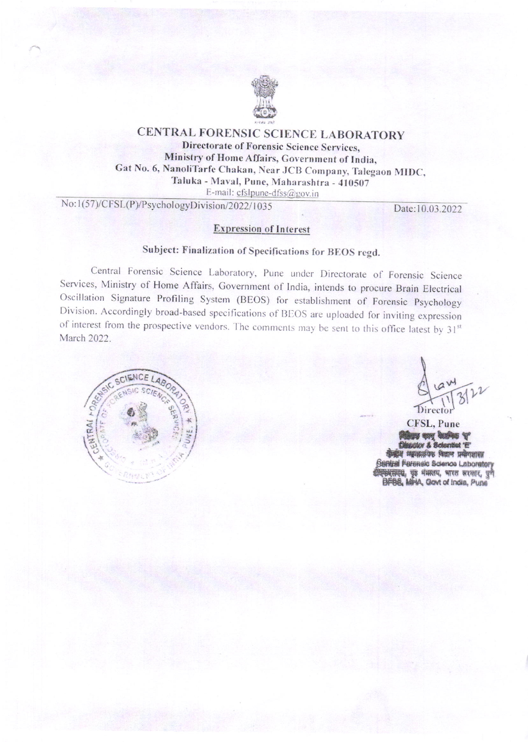

## CENTRAL FORENSIC SCIENCE LABORATORY Directorate of Forensic Science Services, Ministry of Home Affairs, Government of India, Gat No. 6, NanoliTarfe Chakan, Near JCB Company, Talegaon MIDC, Taluka - Maval, Pune, Maharashtra - 410507 E-mail: cfslpune-dfss@gov.in

No:1(57)/CFSL(P)/PsychologyDivision/2022/1035

Date:10.03.2022

### **Expression of Interest**

# Subject: Finalization of Specifications for BEOS regd.

Central Forensic Science Laboratory, Pune under Directorate of Forensic Science Services, Ministry of Home Affairs, Government of India, intends to procure Brain Electrical Oscillation Signature Profiling System (BEOS) for establishment of Forensic Psychology Division. Accordingly broad-based specifications of BEOS are uploaded for inviting expression of interest from the prospective vendors. The comments may be sent to this office latest by 31st March 2022.



Directo

CFSL, Pune **By UNY UNITED T Maglex & Scientist "E"** डेन्द्रीय म्यायालयिक विज्ञान प्रश्नोगशाला **Sentral Ferensic Science Laboratory** कारसम्ब, पृष्ठ मंत्रालय, भारत सरकार, पुणै<br>BFBB, MiriA, Govt of India, Pune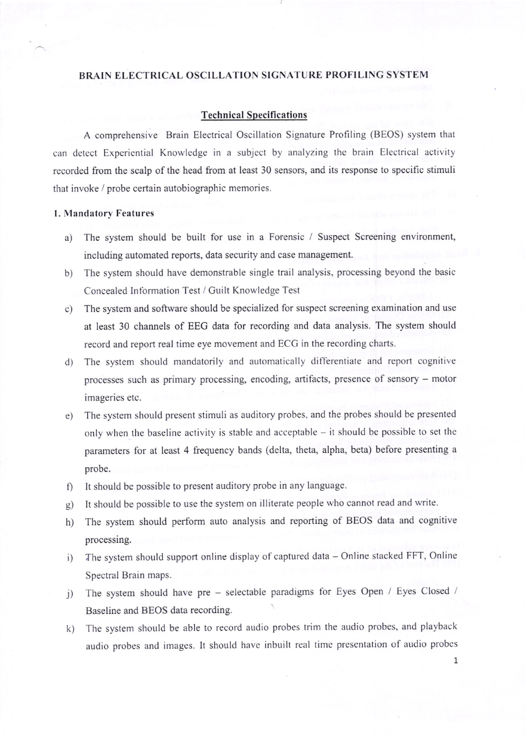#### BRAIN ELECTRICAL OSCILLATION SIGNATURE PROFILING SYSTEM

#### **Technical Specifications**

A comprehensive Brain Electrical Oscillation Signature Profiling (BEOS) system that can dctect Experiential Knowledge in a subject by analyzing thc brain Elcctrical activity recorded from the scalp of the head from at least 30 sensors, and its response to specific stimuli that invoke / probe certain autobiographic memories.

#### 1. Mandatory Features

- a) The system should be built for use in a Forensic / Suspect Screening environment, including automated reports, data security and case management.
- b) The system should have demonstrable single trail analysis, processing beyond the basic Concealed Information Test / Guilt Knowledge Test
- c) The system and software should be specialized for suspect screening examination and use at least 30 channels of EEG data for recording and data analysis. The system should record and report real time eye movement and ECG in the recording charts.
- d) The system should mandatorily and automatically dif'ferentiate and reporl cognitive processes such as primary processing, encoding, artifacts, presence of sensory - motor imageries etc.
- e) The system should present stimuli as auditory probes, and the probes should be presented only when the baseline activity is stable and acceptable  $-$  it should be possible to set the parameters for at least 4 frequency bands (delta, theta, alpha, beta) before presenting <sup>a</sup> probe.
- f) It should be possible to present auditory probe in any language.
- $g)$ It should be possible to use the system on illiterate people who cannot read and write
- h) The system should perform auto analysis and reporting of BEOS data and cognitive processing.
- The system should support online display of captured data Online stacked FFT, Online Spectral Brain maps. i)
- The system should have pre selectable paradigms for Eyes Open / Eyes Closed / Baseline and BEOS data recording. j)
- The system should be able to record audio probes trim the audio probes, and playback audio probes and images. It should have inbuilt real time presentation of audio probes k)